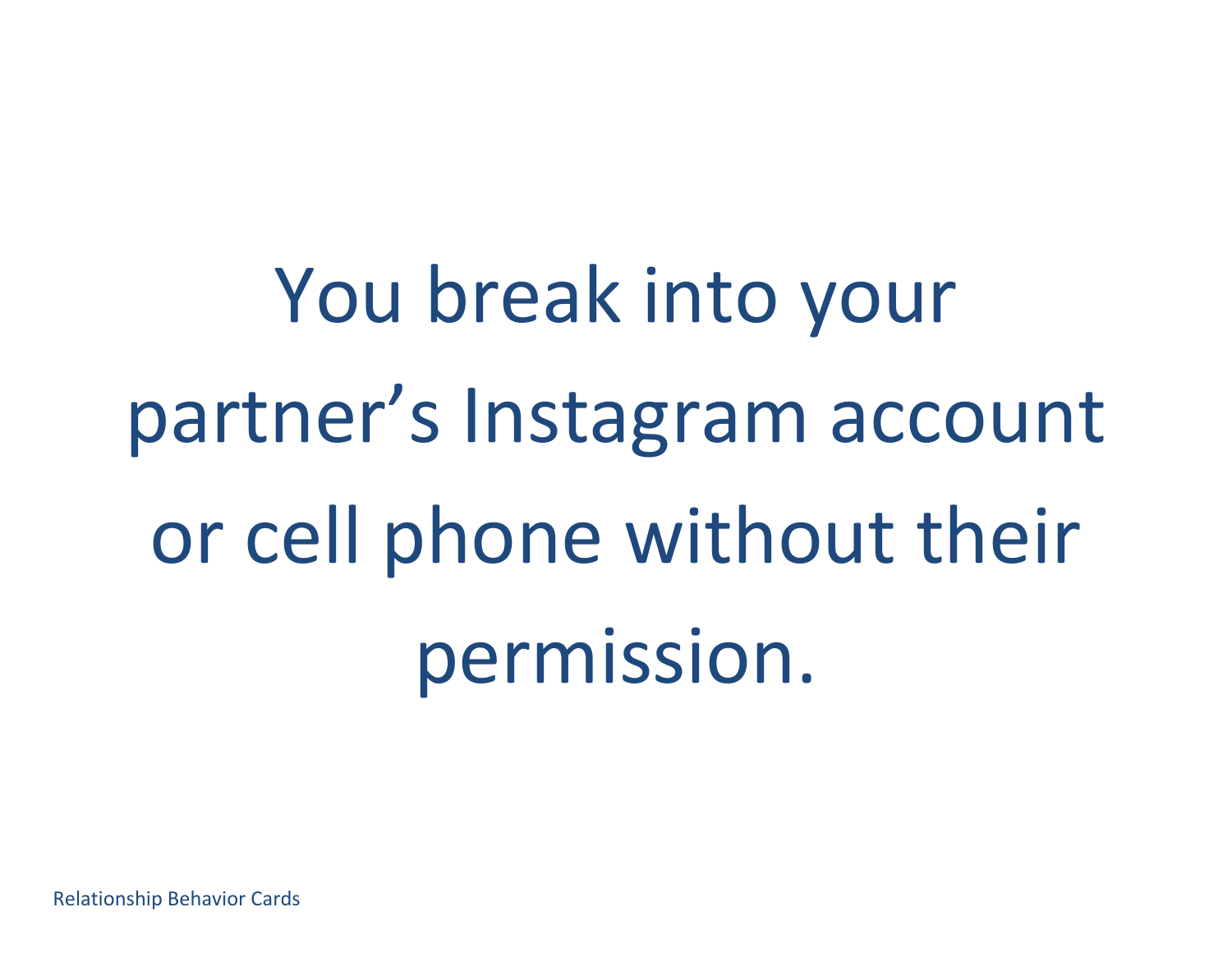You break into your partner's Instagram account or cell phone without their permission.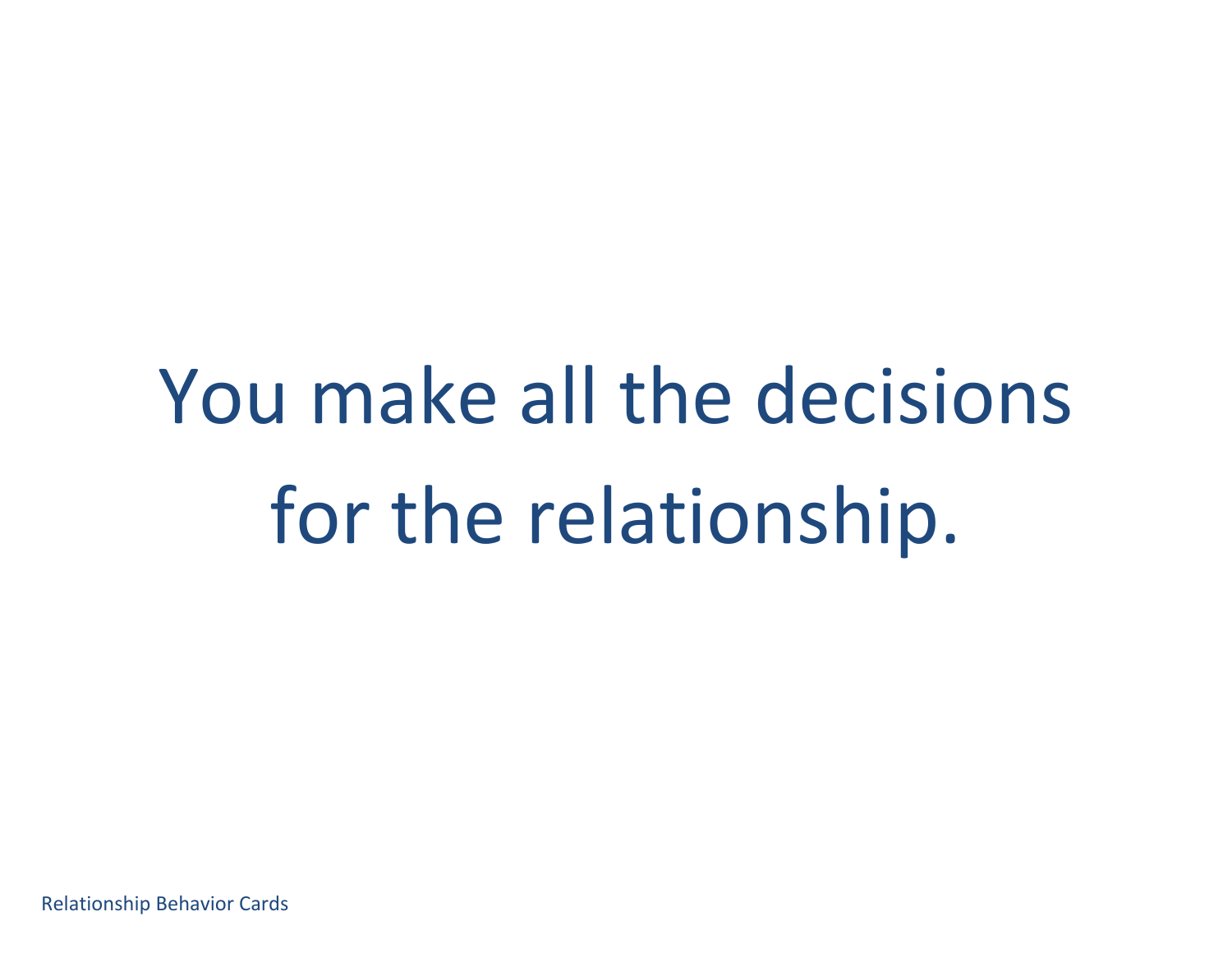#### You make all the decisions for the relationship.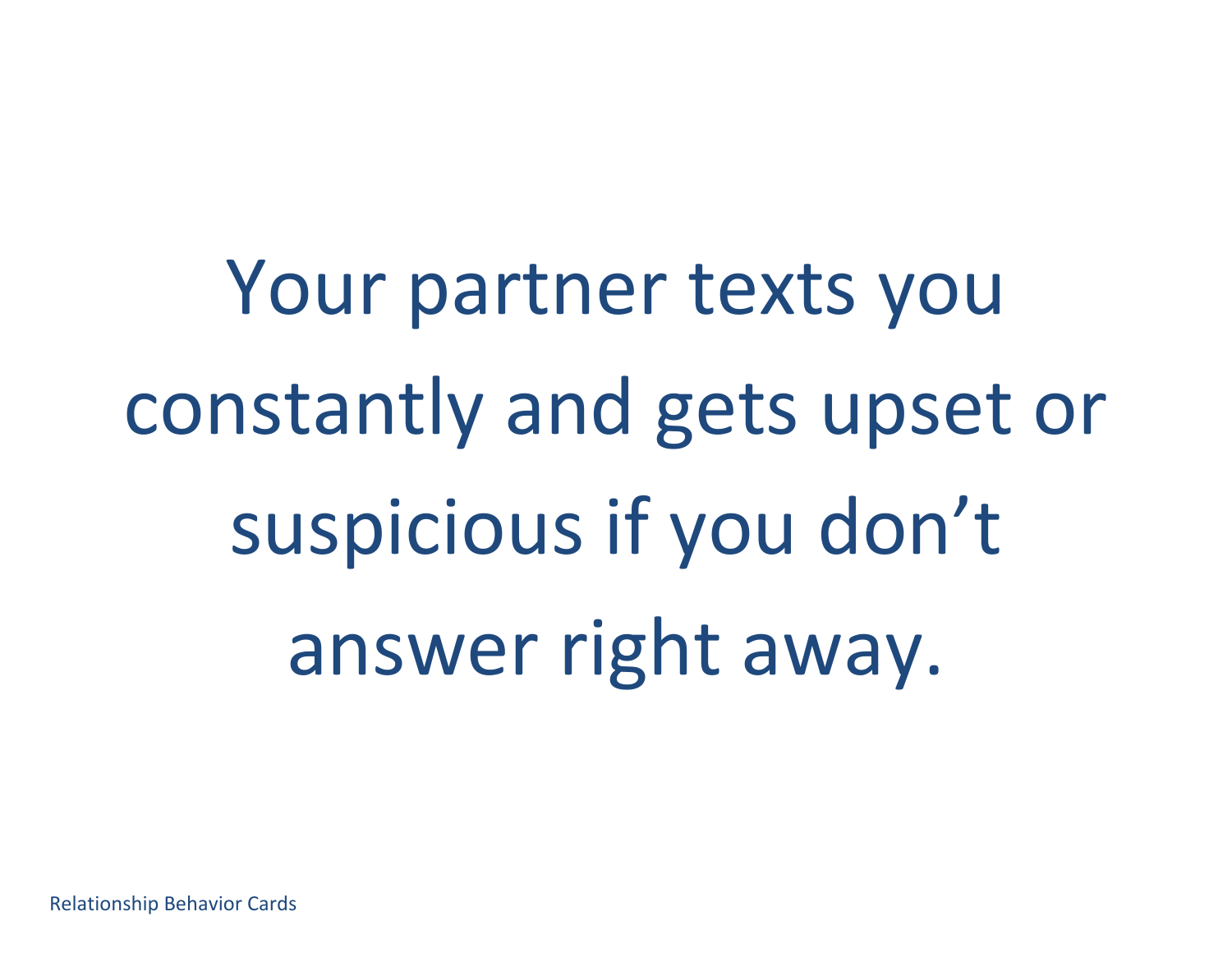Your partner texts you constantly and gets upset or suspicious if you don't answer right away.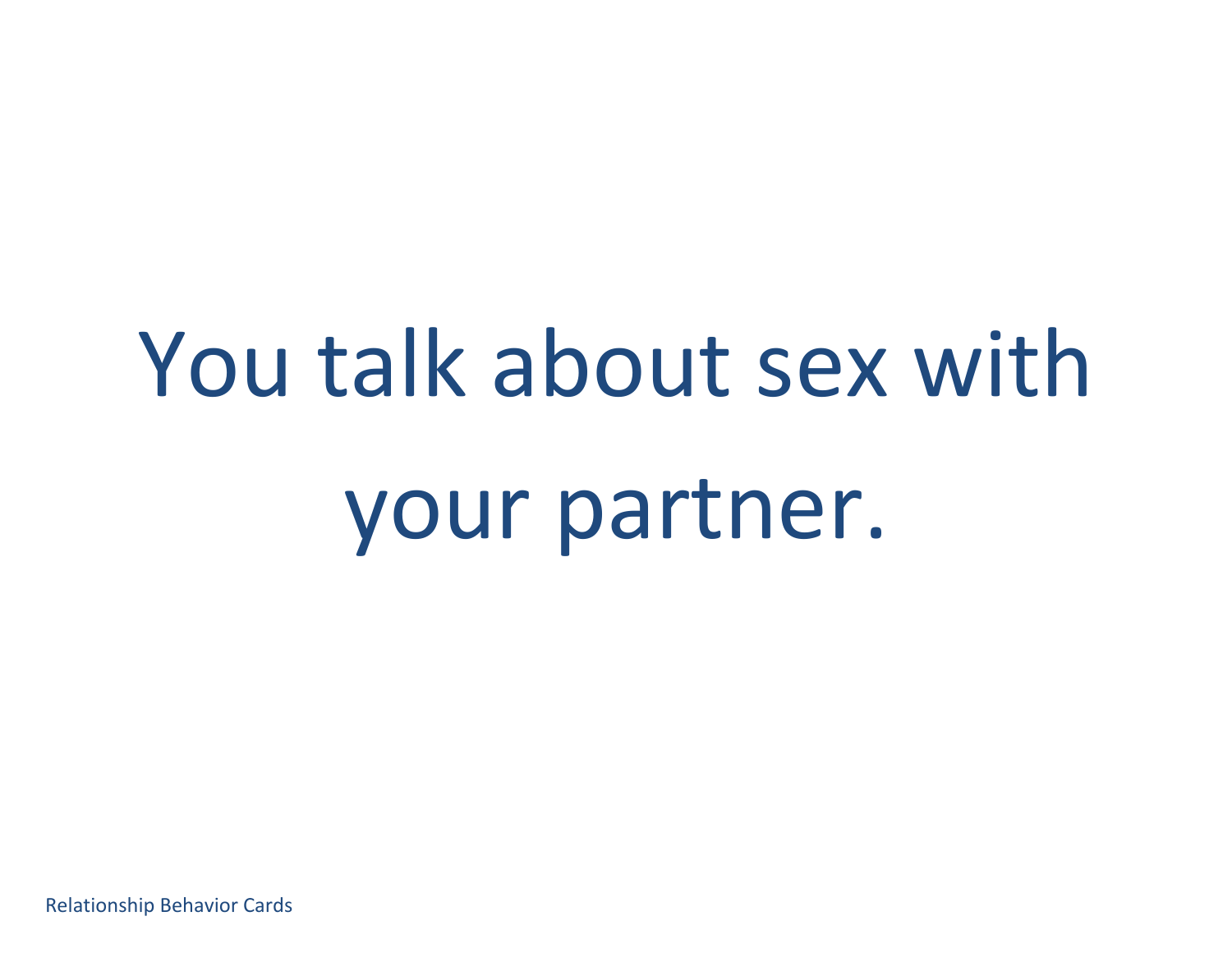## You talk about sex with your partner.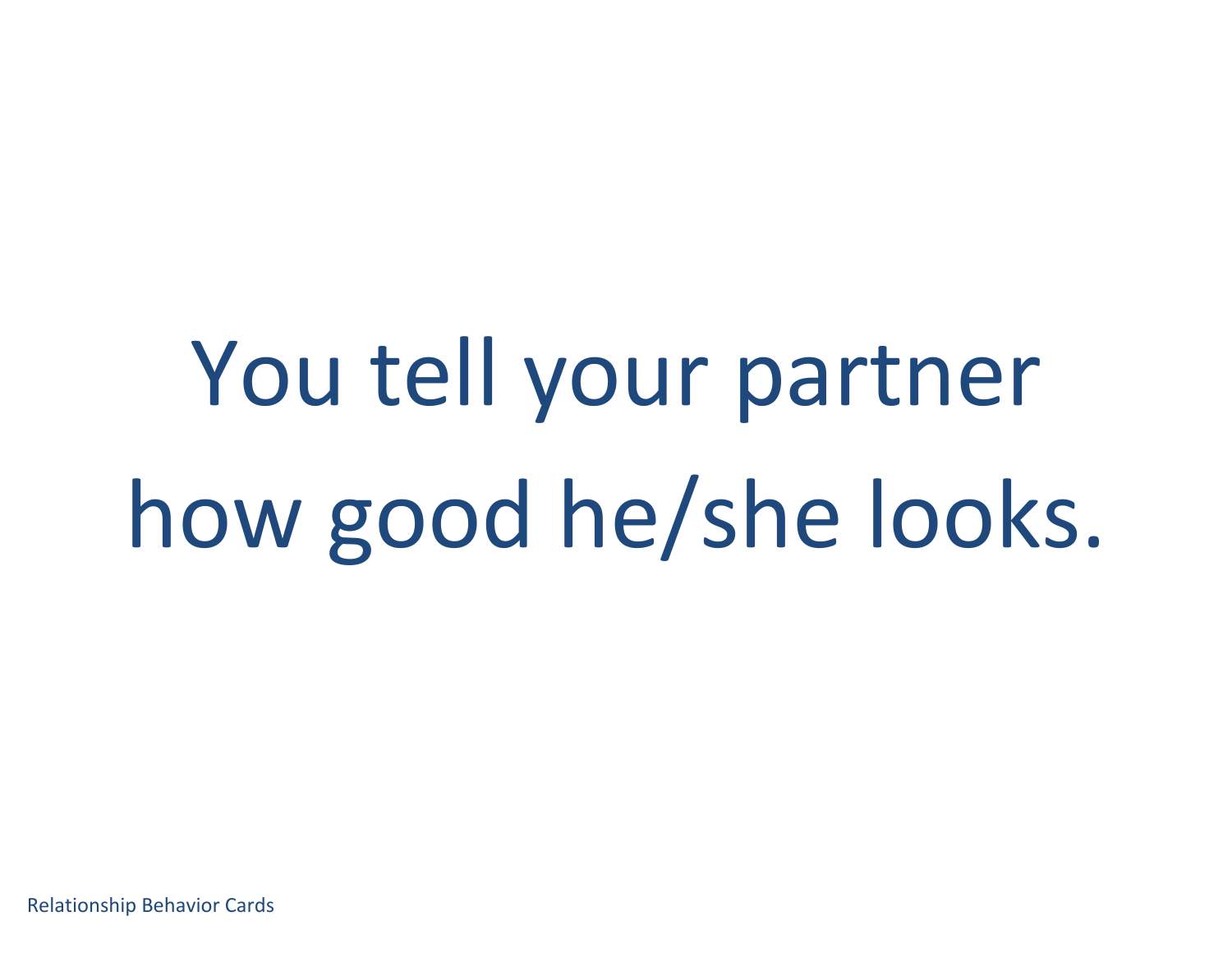#### You tell your partner how good he/she looks.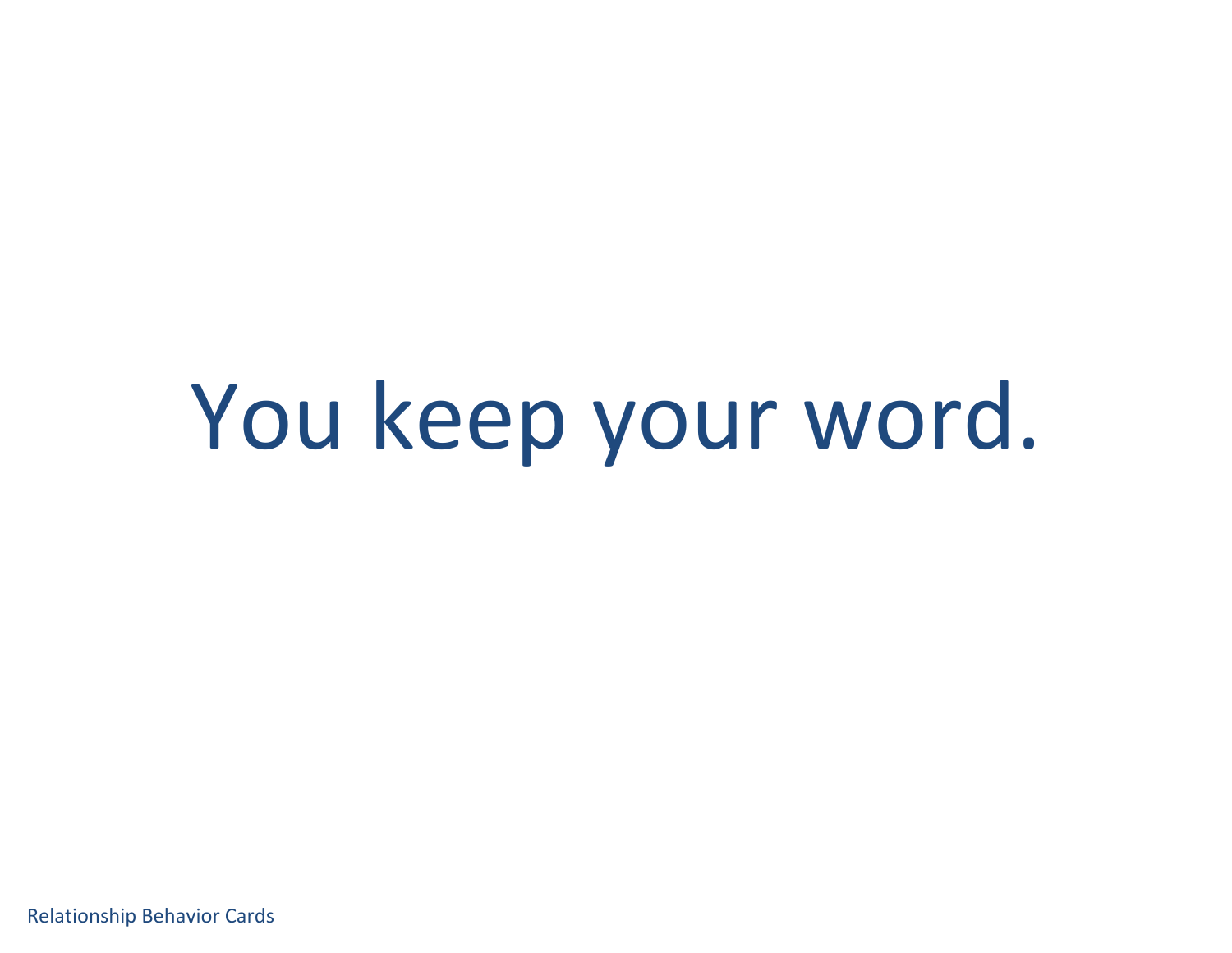#### You keep your word.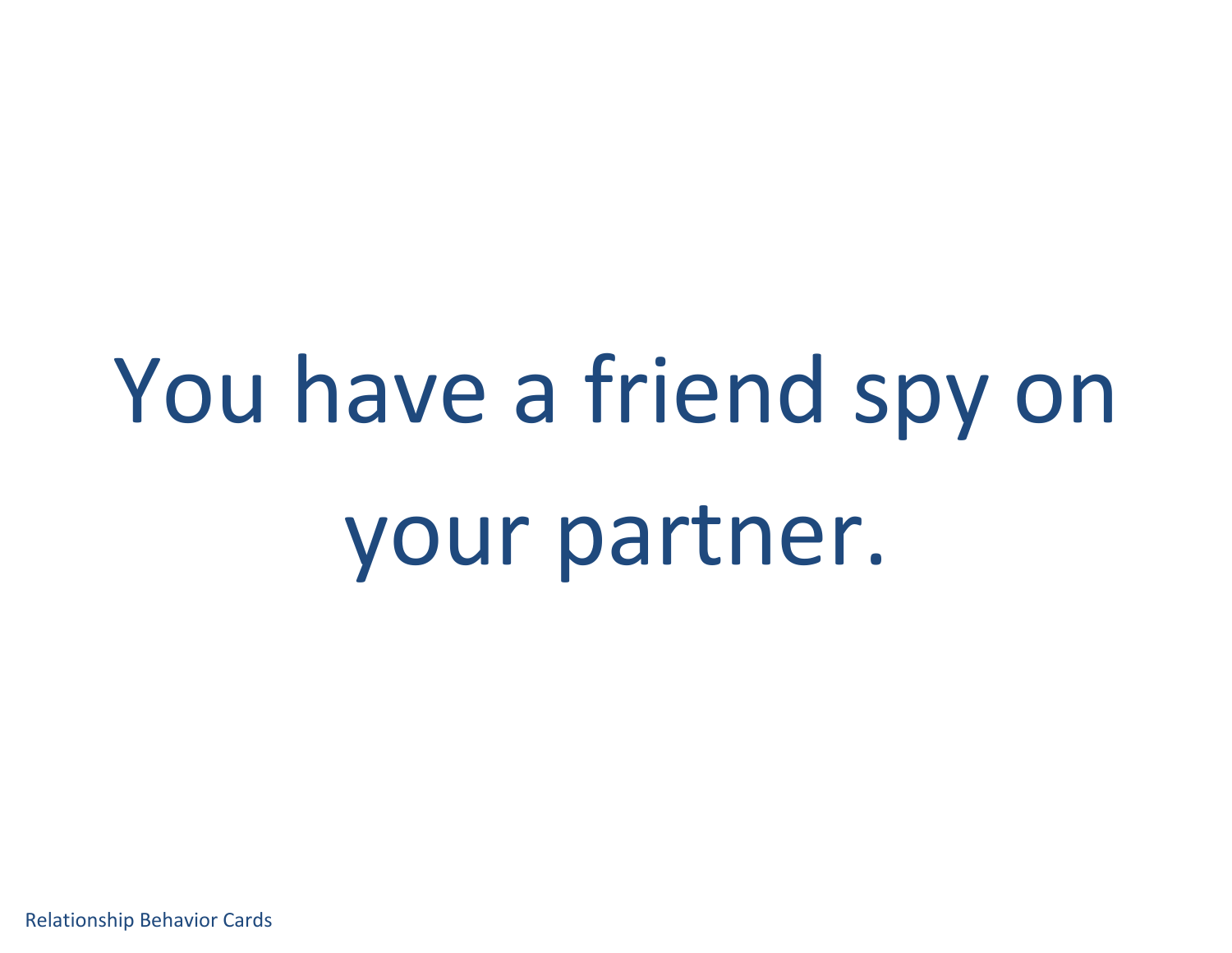## You have a friend spy on your partner.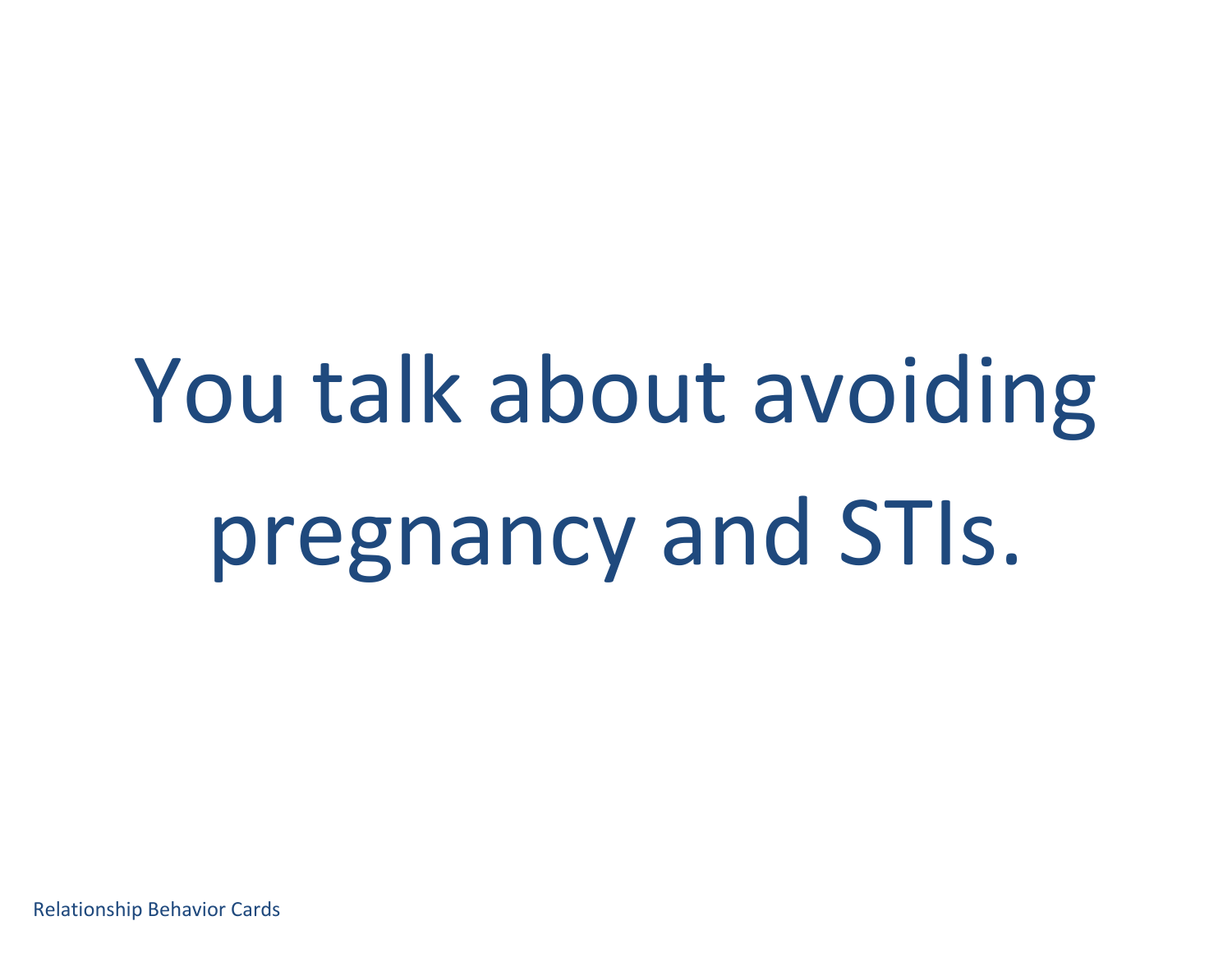## You talk about avoiding pregnancy and STIs.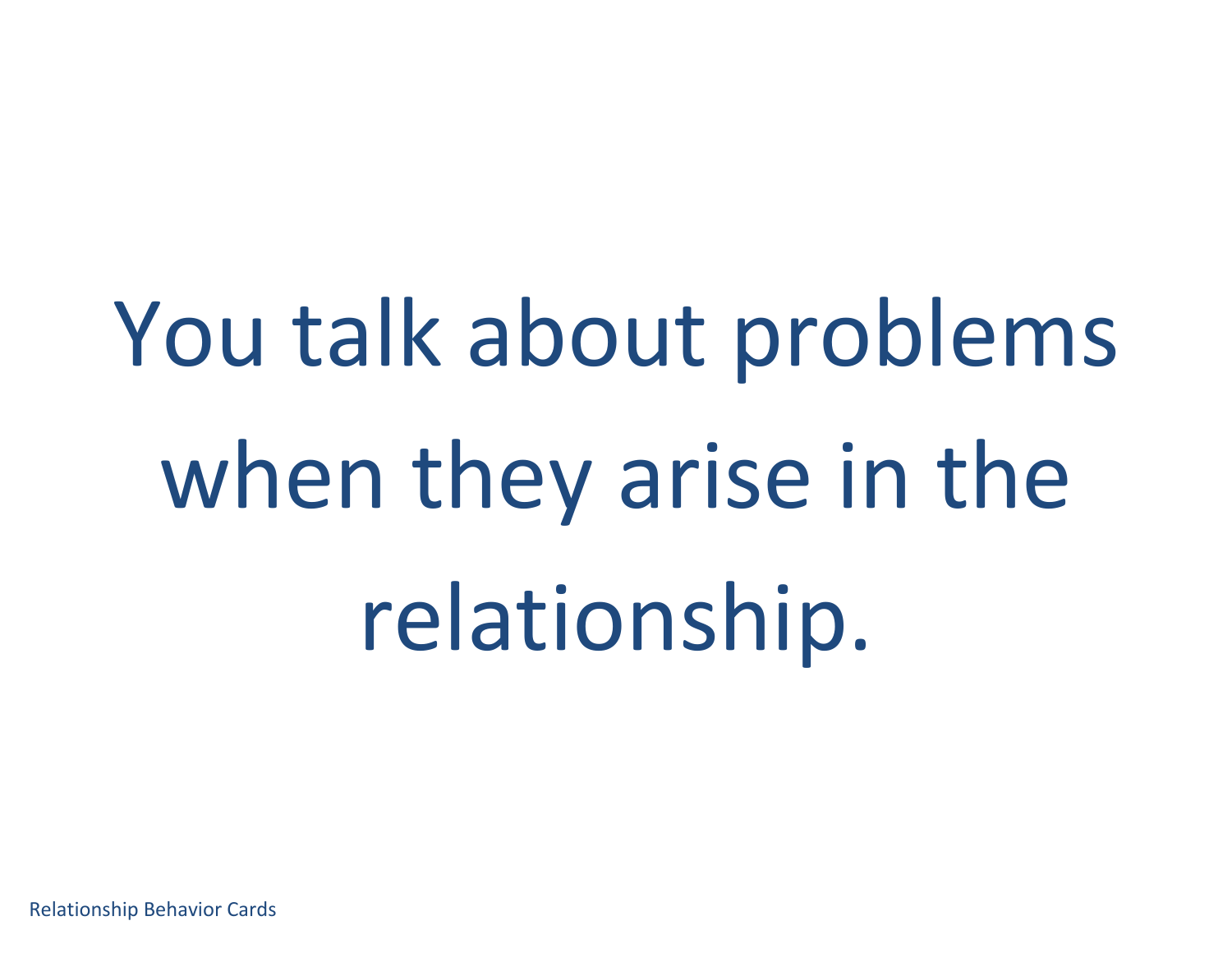## You talk about problems when they arise in the relationship.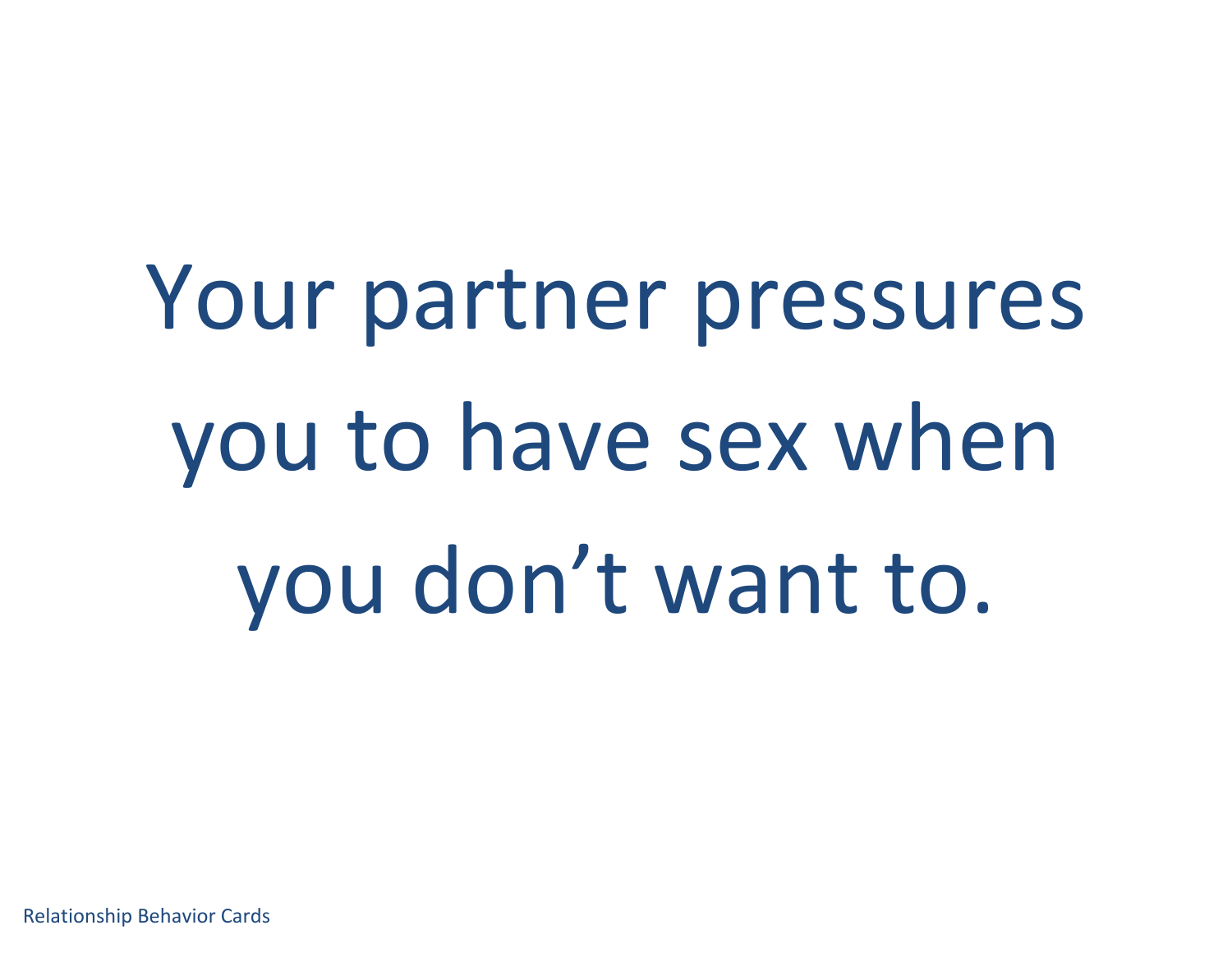Your partner pressures you to have sex when you don't want to.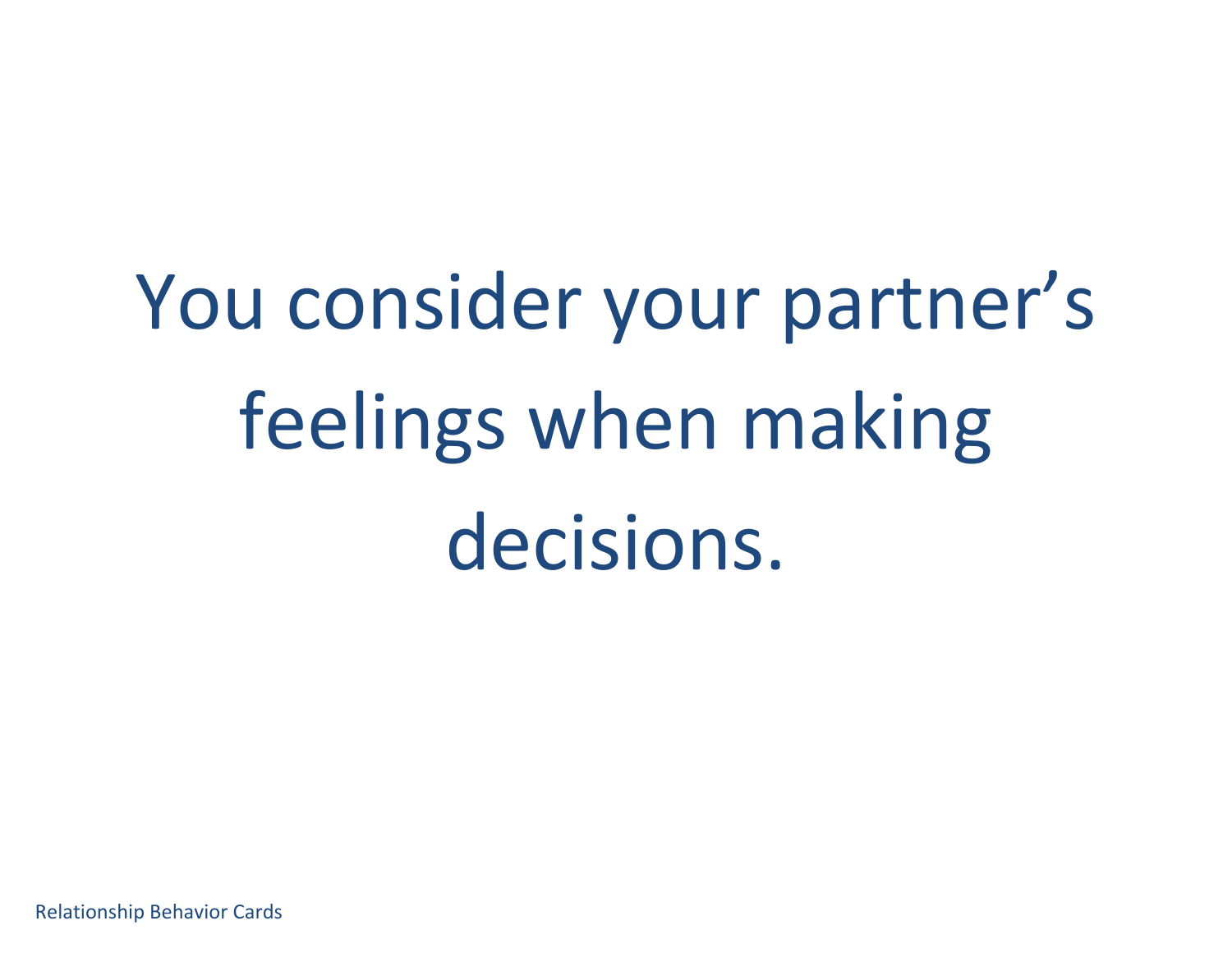#### You consider your partner's feelings when making decisions.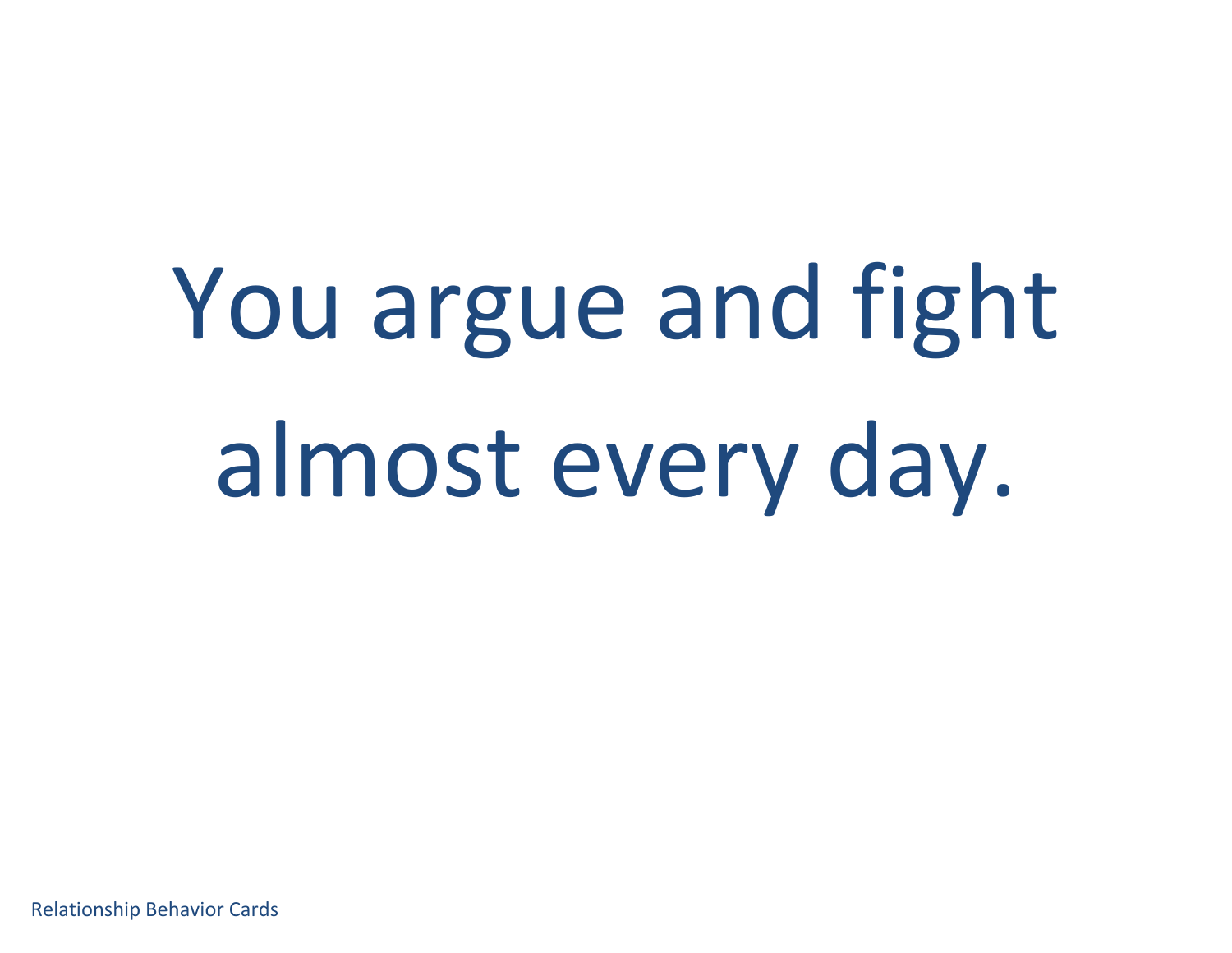You argue and fight almost every day.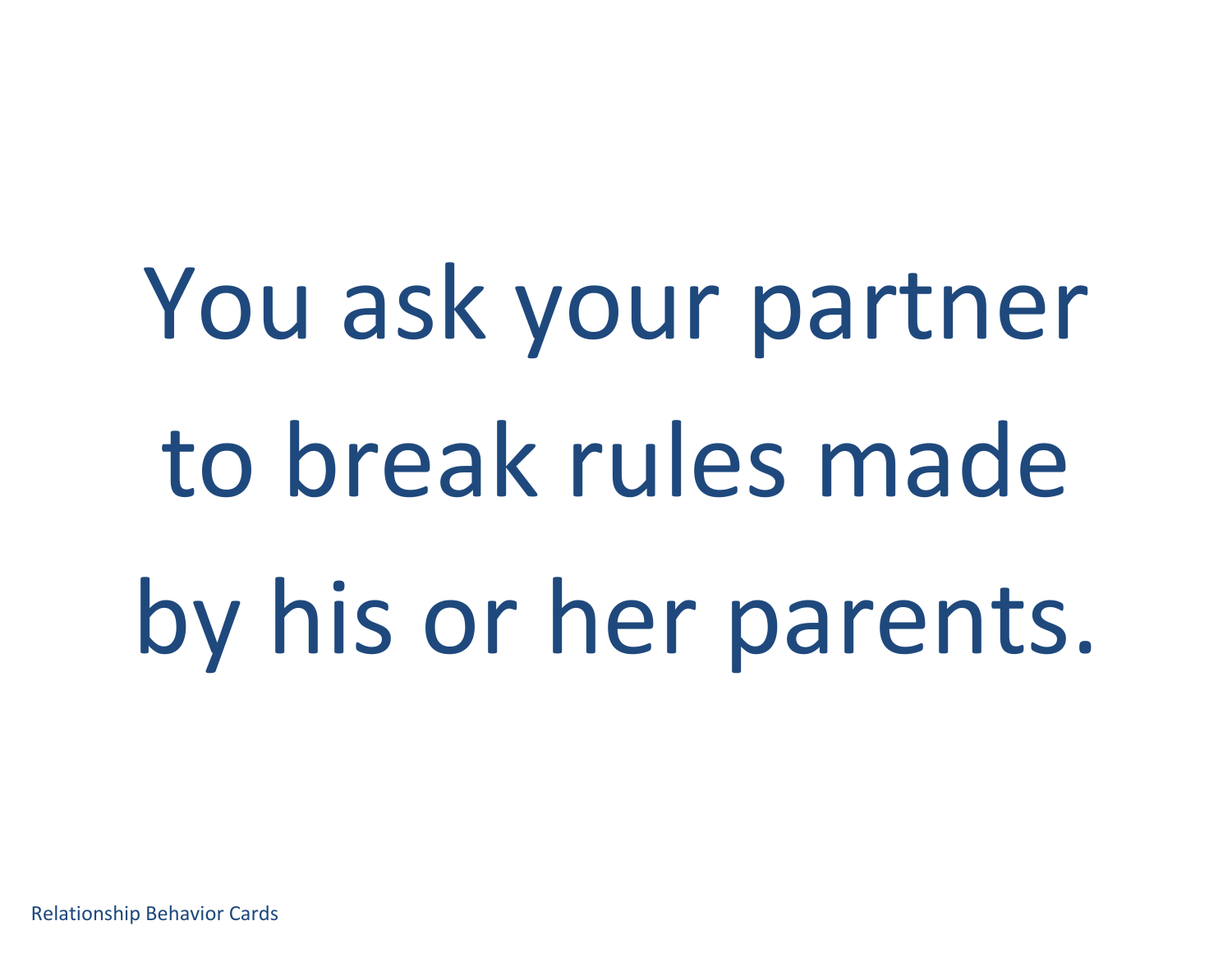You ask your partner to break rules made by his or her parents.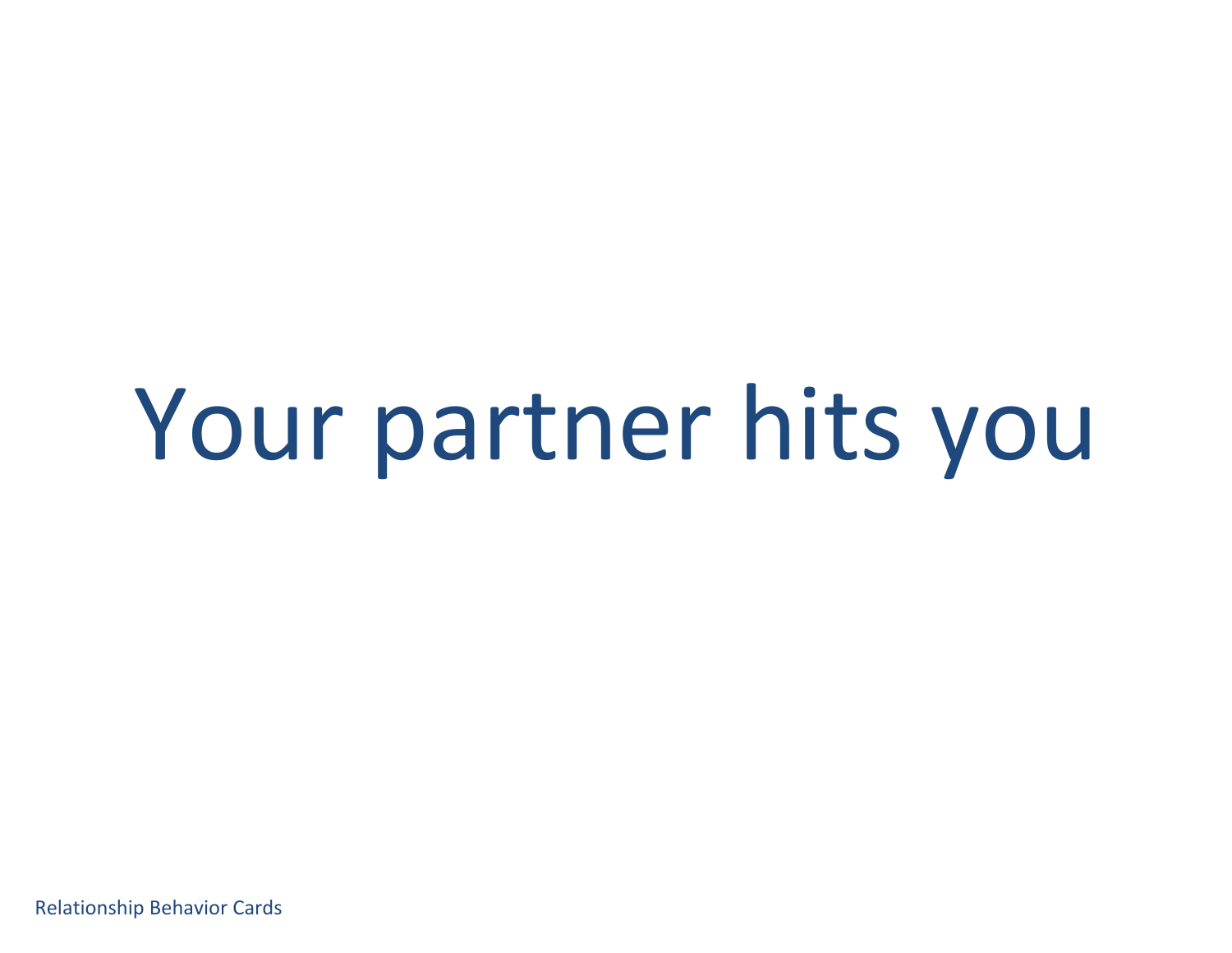#### Your partner hits you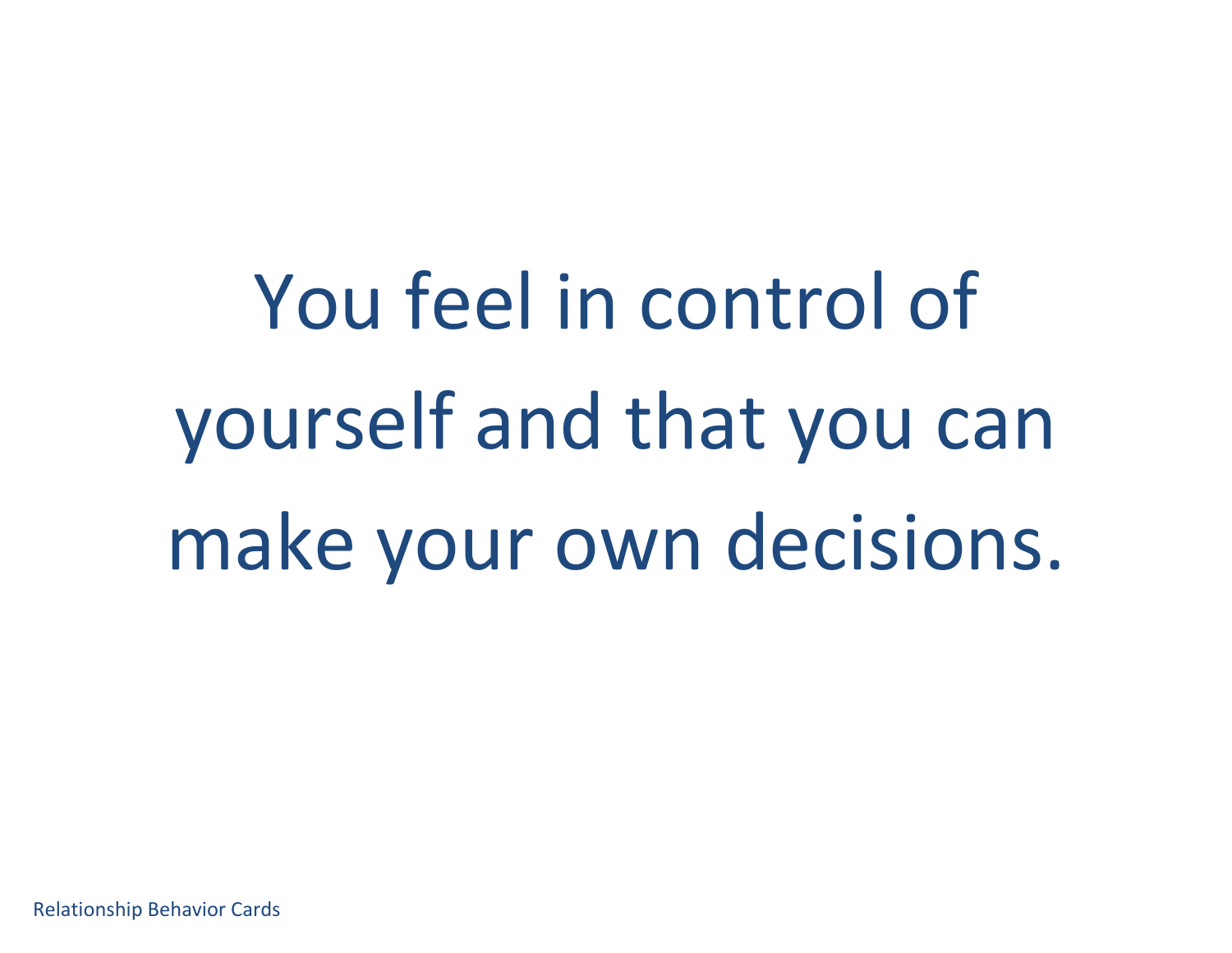You feel in control of yourself and that you can make your own decisions.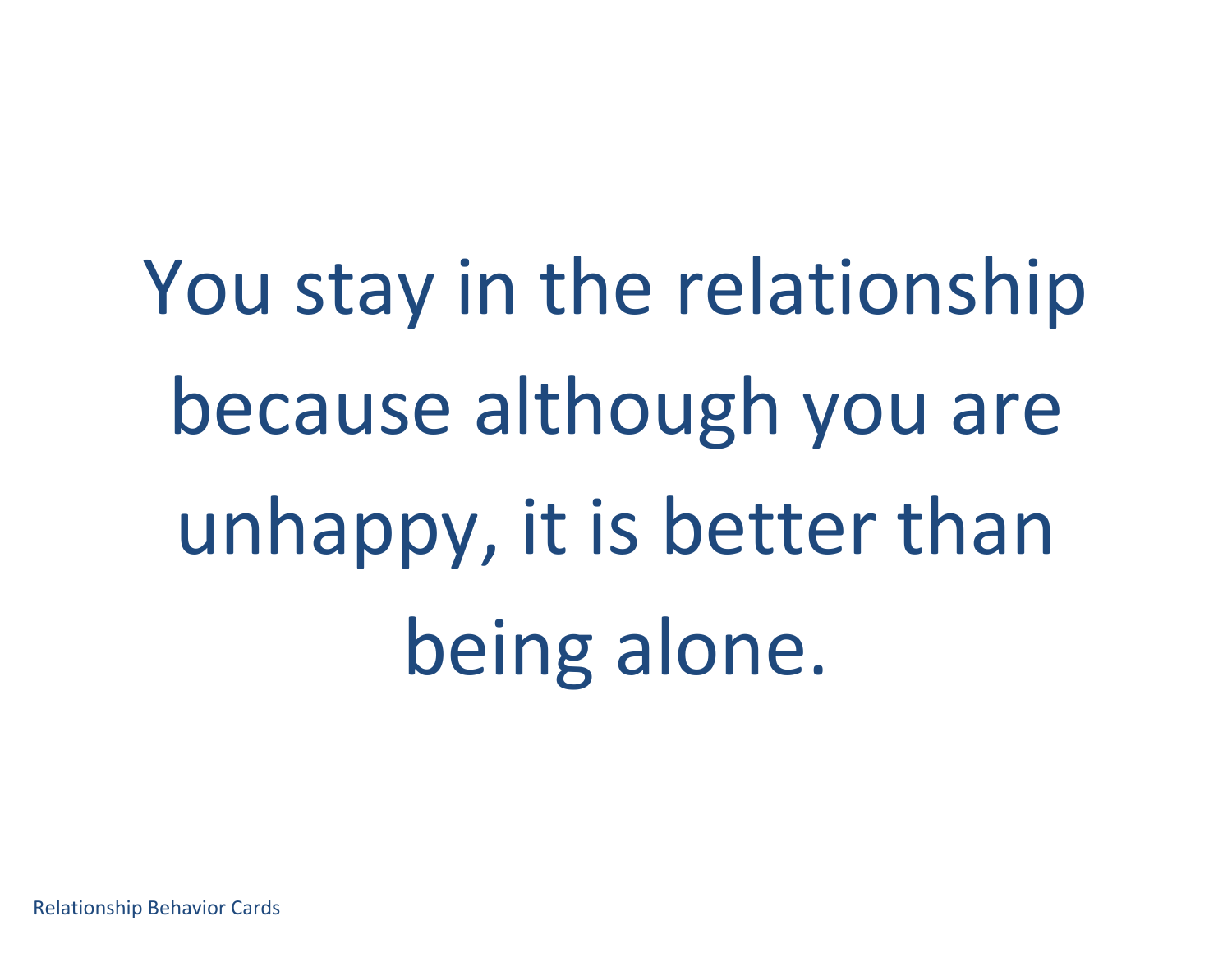You stay in the relationship because although you are unhappy, it is better than being alone.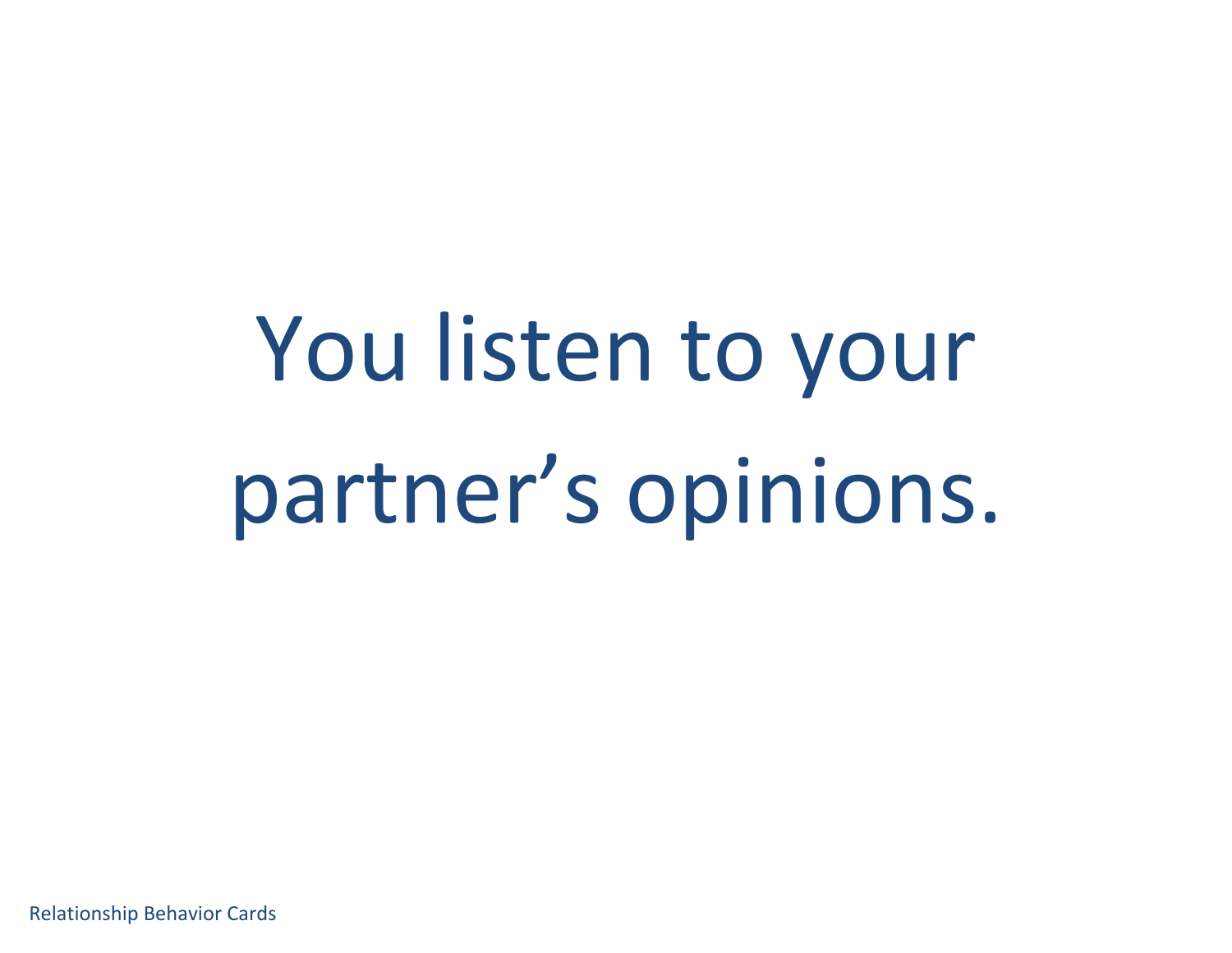## You listen to your partner's opinions.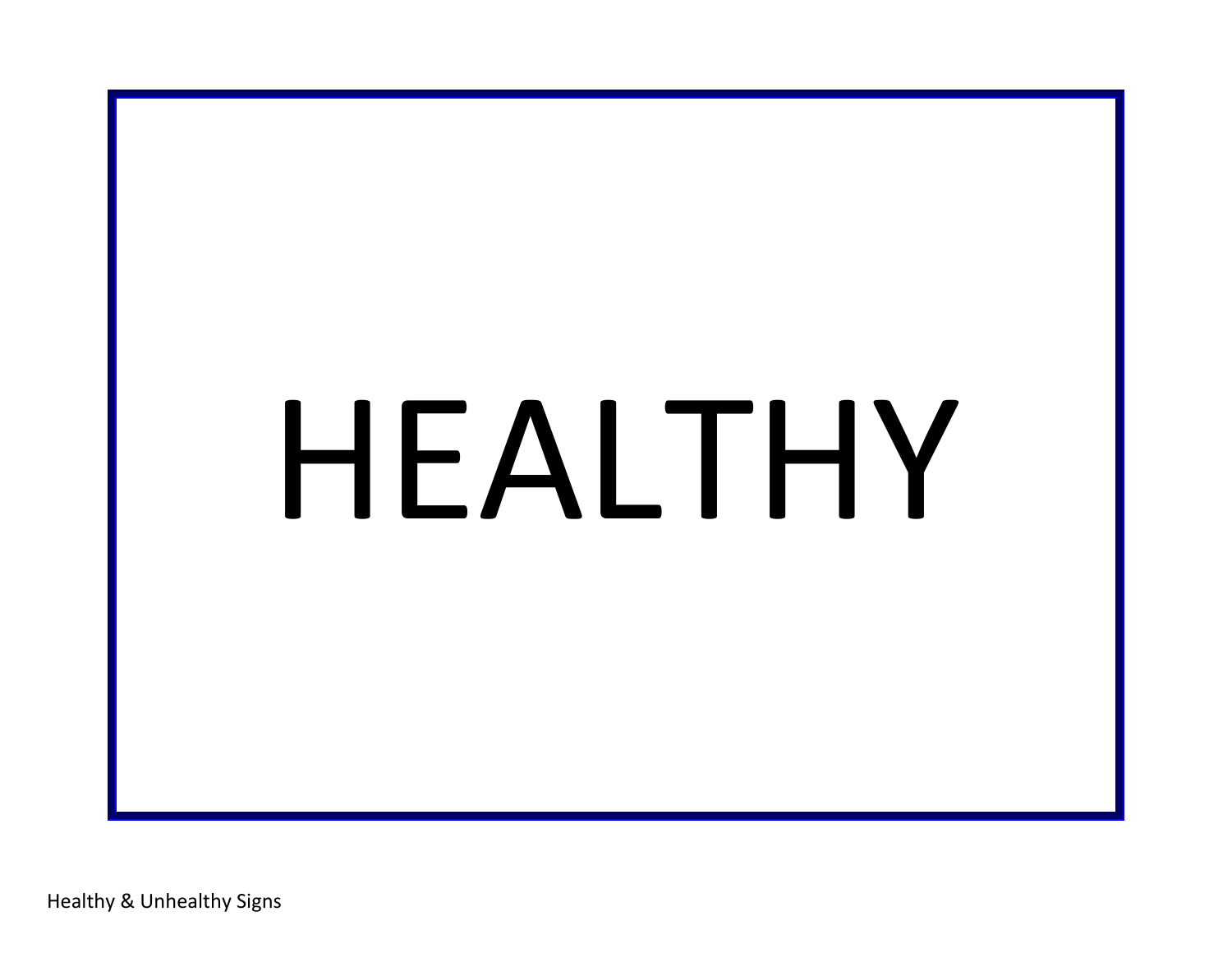## HEALTHY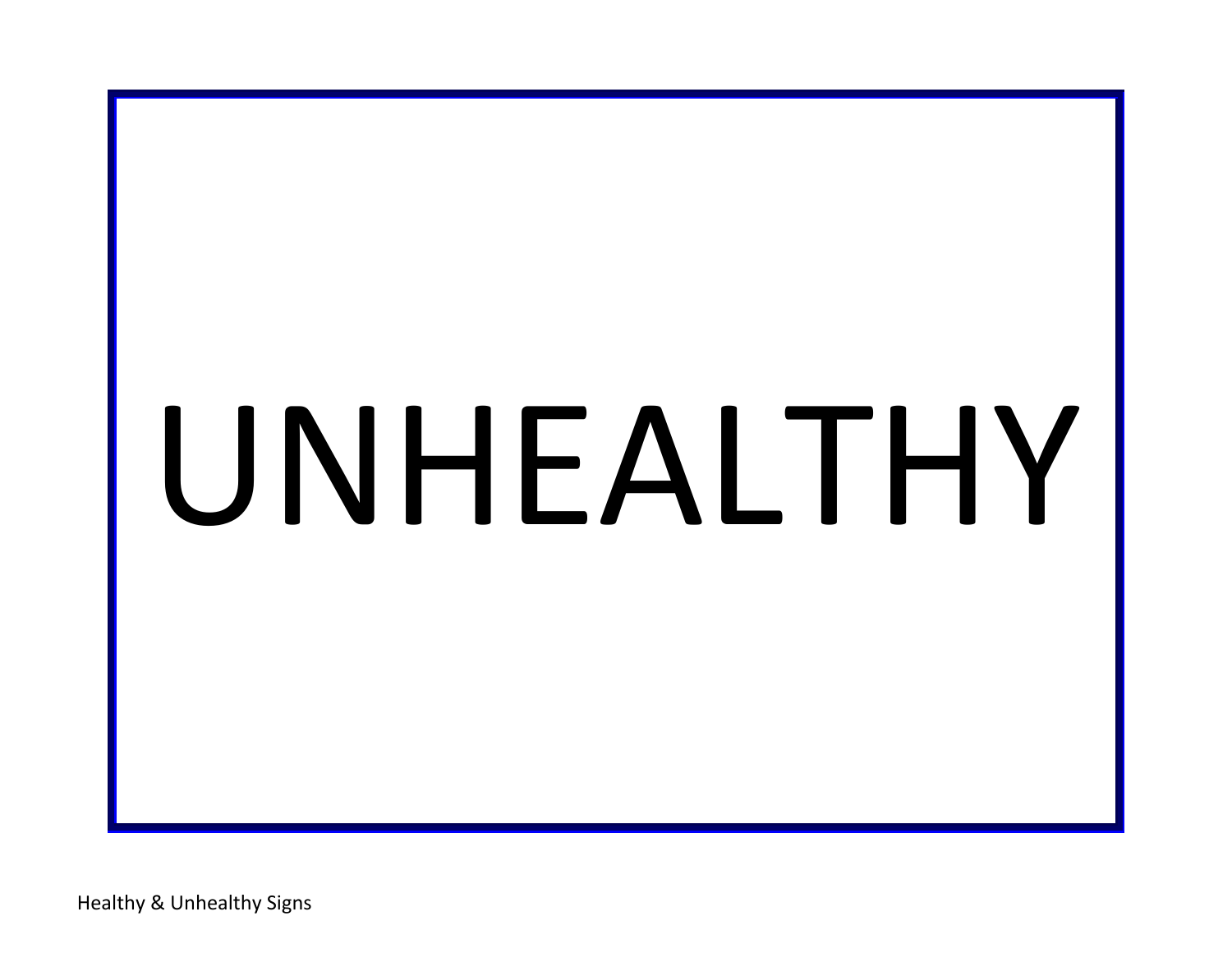# UNHEALTHY